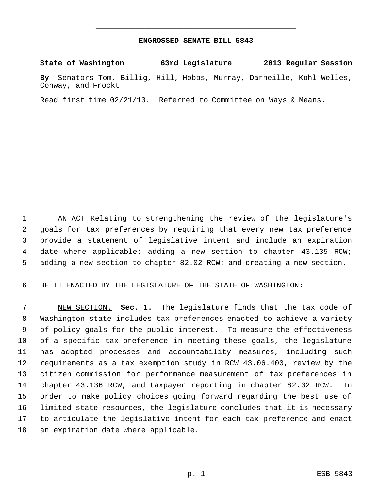## **ENGROSSED SENATE BILL 5843** \_\_\_\_\_\_\_\_\_\_\_\_\_\_\_\_\_\_\_\_\_\_\_\_\_\_\_\_\_\_\_\_\_\_\_\_\_\_\_\_\_\_\_\_\_

\_\_\_\_\_\_\_\_\_\_\_\_\_\_\_\_\_\_\_\_\_\_\_\_\_\_\_\_\_\_\_\_\_\_\_\_\_\_\_\_\_\_\_\_\_

**State of Washington 63rd Legislature 2013 Regular Session**

**By** Senators Tom, Billig, Hill, Hobbs, Murray, Darneille, Kohl-Welles, Conway, and Frockt

Read first time 02/21/13. Referred to Committee on Ways & Means.

 AN ACT Relating to strengthening the review of the legislature's goals for tax preferences by requiring that every new tax preference provide a statement of legislative intent and include an expiration 4 date where applicable; adding a new section to chapter 43.135 RCW; adding a new section to chapter 82.02 RCW; and creating a new section.

BE IT ENACTED BY THE LEGISLATURE OF THE STATE OF WASHINGTON:

 NEW SECTION. **Sec. 1.** The legislature finds that the tax code of Washington state includes tax preferences enacted to achieve a variety of policy goals for the public interest. To measure the effectiveness of a specific tax preference in meeting these goals, the legislature has adopted processes and accountability measures, including such requirements as a tax exemption study in RCW 43.06.400, review by the citizen commission for performance measurement of tax preferences in chapter 43.136 RCW, and taxpayer reporting in chapter 82.32 RCW. In order to make policy choices going forward regarding the best use of limited state resources, the legislature concludes that it is necessary to articulate the legislative intent for each tax preference and enact an expiration date where applicable.